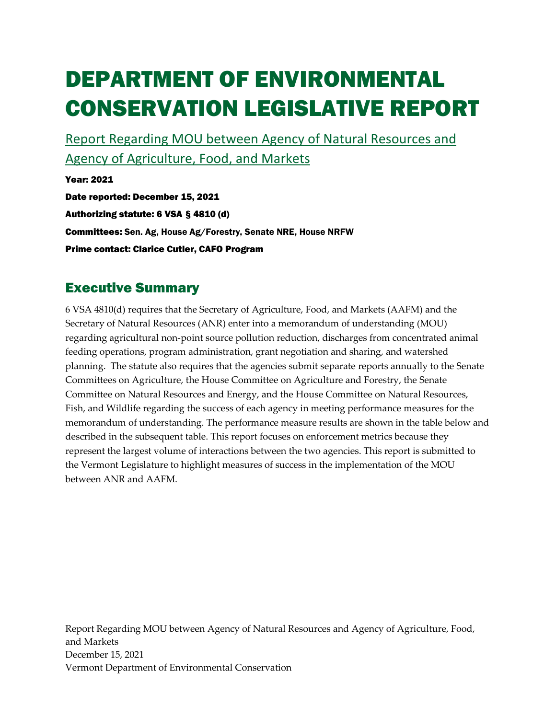# DEPARTMENT OF ENVIRONMENTAL CONSERVATION LEGISLATIVE REPORT

Report Regarding MOU between Agency of Natural Resources and Agency of Agriculture, Food, and Markets

Year: 2021 Date reported: December 15, 2021 Authorizing statute: 6 VSA § 4810 (d) Committees: Sen. Ag, House Ag/Forestry, Senate NRE, House NRFW Prime contact: Clarice Cutler, CAFO Program

## Executive Summary

6 VSA 4810(d) requires that the Secretary of Agriculture, Food, and Markets (AAFM) and the Secretary of Natural Resources (ANR) enter into a memorandum of understanding (MOU) regarding agricultural non-point source pollution reduction, discharges from concentrated animal feeding operations, program administration, grant negotiation and sharing, and watershed planning. The statute also requires that the agencies submit separate reports annually to the Senate Committees on Agriculture, the House Committee on Agriculture and Forestry, the Senate Committee on Natural Resources and Energy, and the House Committee on Natural Resources, Fish, and Wildlife regarding the success of each agency in meeting performance measures for the memorandum of understanding. The performance measure results are shown in the table below and described in the subsequent table. This report focuses on enforcement metrics because they represent the largest volume of interactions between the two agencies. This report is submitted to the Vermont Legislature to highlight measures of success in the implementation of the MOU between ANR and AAFM.

Report Regarding MOU between Agency of Natural Resources and Agency of Agriculture, Food, and Markets December 15, 2021 Vermont Department of Environmental Conservation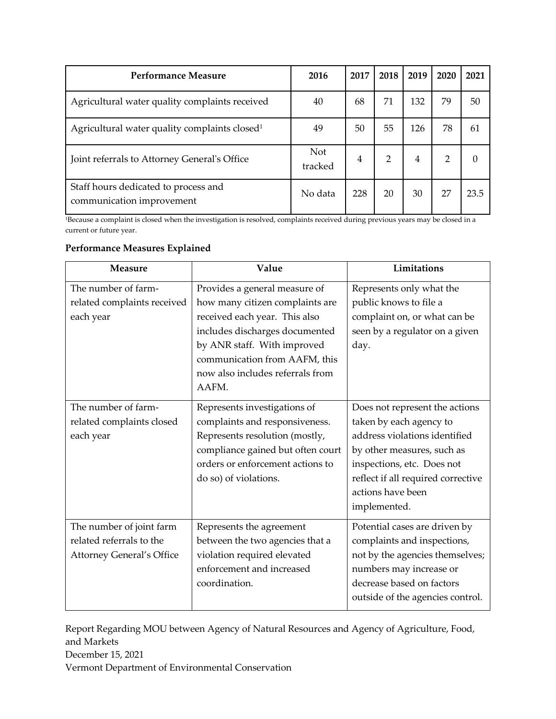| Performance Measure                                               | 2016                  | 2017 | 2018           | 2019 | 2020 | 2021 |
|-------------------------------------------------------------------|-----------------------|------|----------------|------|------|------|
| Agricultural water quality complaints received                    | 40                    | 68   | 71             | 132  | 79   | 50   |
| Agricultural water quality complaints closed <sup>1</sup>         | 49                    | 50   | 55             | 126  | 78   | 61   |
| Joint referrals to Attorney General's Office                      | <b>Not</b><br>tracked | 4    | $\overline{2}$ | 4    | 2    |      |
| Staff hours dedicated to process and<br>communication improvement | No data               | 228  | 20             | 30   | 27   | 23.5 |

<sup>1</sup>Because a complaint is closed when the investigation is resolved, complaints received during previous years may be closed in a current or future year.

#### **Performance Measures Explained**

| <b>Measure</b>                                                                           | Value                                                                                                                                                                                                                                            | Limitations                                                                                                                                                                                                                       |
|------------------------------------------------------------------------------------------|--------------------------------------------------------------------------------------------------------------------------------------------------------------------------------------------------------------------------------------------------|-----------------------------------------------------------------------------------------------------------------------------------------------------------------------------------------------------------------------------------|
| The number of farm-<br>related complaints received<br>each year                          | Provides a general measure of<br>how many citizen complaints are<br>received each year. This also<br>includes discharges documented<br>by ANR staff. With improved<br>communication from AAFM, this<br>now also includes referrals from<br>AAFM. | Represents only what the<br>public knows to file a<br>complaint on, or what can be<br>seen by a regulator on a given<br>day.                                                                                                      |
| The number of farm-<br>related complaints closed<br>each year                            | Represents investigations of<br>complaints and responsiveness.<br>Represents resolution (mostly,<br>compliance gained but often court<br>orders or enforcement actions to<br>do so) of violations.                                               | Does not represent the actions<br>taken by each agency to<br>address violations identified<br>by other measures, such as<br>inspections, etc. Does not<br>reflect if all required corrective<br>actions have been<br>implemented. |
| The number of joint farm<br>related referrals to the<br><b>Attorney General's Office</b> | Represents the agreement<br>between the two agencies that a<br>violation required elevated<br>enforcement and increased<br>coordination.                                                                                                         | Potential cases are driven by<br>complaints and inspections,<br>not by the agencies themselves;<br>numbers may increase or<br>decrease based on factors<br>outside of the agencies control.                                       |

Report Regarding MOU between Agency of Natural Resources and Agency of Agriculture, Food, and Markets December 15, 2021 Vermont Department of Environmental Conservation